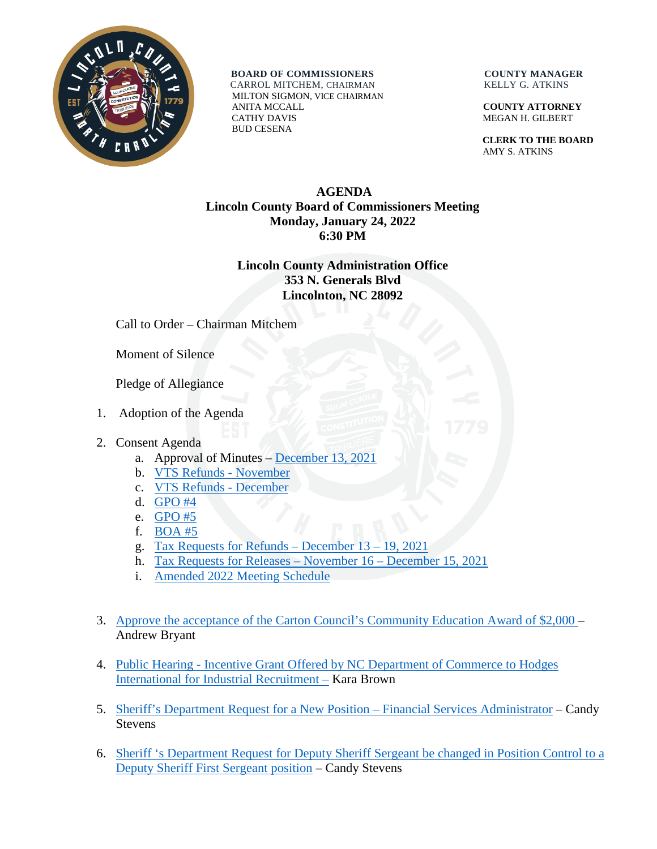

**BOARD OF COMMISSIONERS COUNTY MANAGER** 

 CARROL MITCHEM, CHAIRMAN KELLY G. ATKINS MILTON SIGMON, VICE CHAIRMAN ANITA MCCALL **COUNTY ATTORNEY** CATHY DAVIS MEGAN H. GILBERT BUD CESENA

 **CLERK TO THE BOARD** AMY S. ATKINS

## **AGENDA Lincoln County Board of Commissioners Meeting Monday, January 24, 2022 6:30 PM**

## **Lincoln County Administration Office 353 N. Generals Blvd Lincolnton, NC 28092**

Call to Order – Chairman Mitchem

Moment of Silence

Pledge of Allegiance

1. Adoption of the Agenda

## 2. Consent Agenda

- a. Approval of Minutes [December 13, 2021](https://www.lincolncounty.org/DocumentCenter/View/18401/012422Item2a)
- b. [VTS Refunds](https://www.lincolncounty.org/DocumentCenter/View/18402/012422Item2b) November
- c. [VTS Refunds -](https://www.lincolncounty.org/DocumentCenter/View/18403/012422Item2c) December
- d. [GPO #4](https://www.lincolncounty.org/DocumentCenter/View/18404/012422Item2d)
- e. [GPO #5](https://www.lincolncounty.org/DocumentCenter/View/18405/012422Item2e)
- f. [BOA #5](https://www.lincolncounty.org/DocumentCenter/View/18406/012422Item2f)
- g. [Tax Requests for Refunds –](https://www.lincolncounty.org/DocumentCenter/View/18407/012422Item2g) December 13 19, 2021
- h. [Tax Requests for Releases](https://www.lincolncounty.org/DocumentCenter/View/18408/012422Item2h) November 16 December 15, 2021
- i. [Amended 2022 Meeting Schedule](https://www.lincolncounty.org/DocumentCenter/View/18423/012422Item2i)
- 3. [Approve the acceptance of the Carton Council's Community Education Award of \\$2,000](https://www.lincolncounty.org/DocumentCenter/View/18409/012422Item3) Andrew Bryant
- 4. Public Hearing [Incentive Grant Offered by NC Department of Commerce to Hodges](https://www.lincolncounty.org/DocumentCenter/View/18410/012422Item4)  [International for Industrial Recruitment](https://www.lincolncounty.org/DocumentCenter/View/18410/012422Item4) – Kara Brown
- 5. [Sheriff's Department Request for a New Position –](https://www.lincolncounty.org/DocumentCenter/View/18411/012422Item5) Financial Services Administrator Candy Stevens
- 6. [Sheriff 's Department Request for Deputy Sheriff Sergeant](https://www.lincolncounty.org/DocumentCenter/View/18412/012422Item6) be changed in Position Control to a [Deputy Sheriff First Sergeant position](https://www.lincolncounty.org/DocumentCenter/View/18412/012422Item6) – Candy Stevens